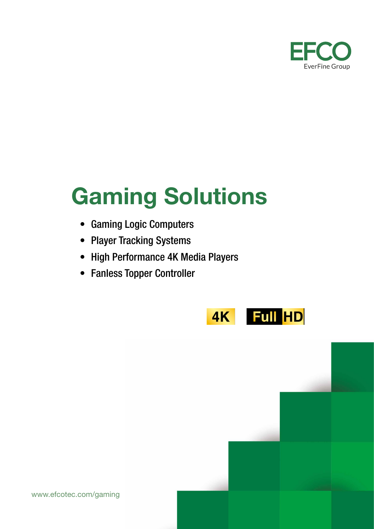

# Gaming Solutions

- Gaming Logic Computers
- Player Tracking Systems
- High Performance 4K Media Players
- Fanless Topper Controller

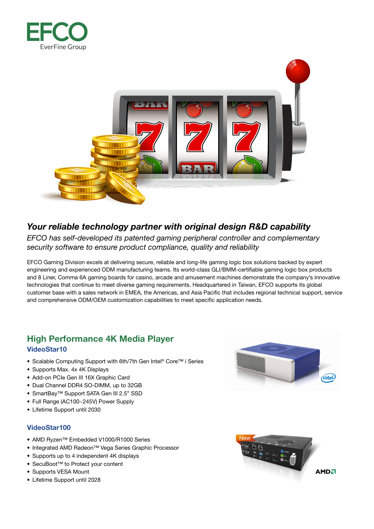



# *Your reliable technology partner with original design R&D capability*

*EFCO has self-developed its patented gaming peripheral controller and complementary security software to ensure product compliance, quality and reliability*

EFCO Gaming Division excels at delivering secure, reliable and long-life gaming logic box solutions backed by expert engineering and experienced ODM manufacturing teams. Its world-class GLI/BMM-certifiable gaming logic box products and 8 Liner, Comma 6A gaming boards for casino, arcade and amusement machines demonstrate the company's innovative technologies that continue to meet diverse gaming requirements. Headquartered in Taiwan, EFCO supports its global customer base with a sales network in EMEA, the Americas, and Asia Pacific that includes regional technical support, service and comprehensive ODM/OEM customization capabilities to meet specific application needs.

# High Performance 4K Media Player VideoStar10

- Scalable Computing Support with 6th/7th Gen Intel® Core™ i Series
- Supports Max. 4x 4K Displays
- Add-on PCIe Gen III 16X Graphic Card
- Dual Channel DDR4 SO-DIMM, up to 32GB
- SmartBay™ Support SATA Gen III 2.5" SSD
- Full Range (AC100~245V) Power Supply
- Lifetime Support until 2030

# VideoStar100

- AMD Ryzen™ Embedded V1000/R1000 Series
- Integrated AMD Radeon™ Vega Series Graphic Processor
- Supports up to 4 independent 4K displays
- SecuBoot™ to Protect your content
- Supports VESA Mount
- Lifetime Support until 2028



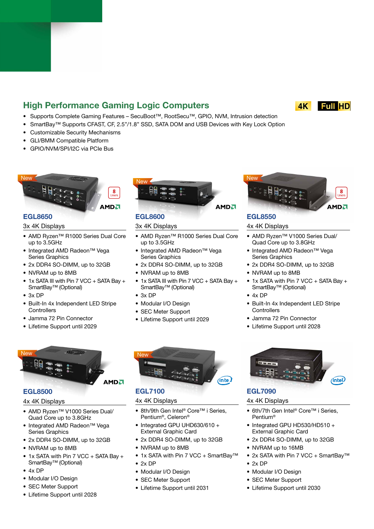# High Performance Gaming Logic Computers

- Supports Complete Gaming Features SecuBoot™, RootSecu™, GPIO, NVM, Intrusion detection
- SmartBay™ Supports CFAST, CF, 2.5"/1.8" SSD, SATA DOM and USB Devices with Key Lock Option
- Customizable Security Mechanisms
- GLI/BMM Compatible Platform
- GPIO/NVM/SPI/I2C via PCIe Bus



# EGL8650

#### 3x 4K Displays

- AMD Ryzen™ R1000 Series Dual Core up to 3.5GHz
- Integrated AMD Radeon™ Vega Series Graphics
- 2x DDR4 SO-DIMM, up to 32GB
- NVRAM up to 8MB
- 1x SATA III with Pin 7 VCC + SATA Bay + SmartBay™ (Optional)
- 3x DP
- Built-In 4x Independent LED Stripe **Controllers**
- Jamma 72 Pin Connector
- Lifetime Support until 2029



# EGL8600

#### 3x 4K Displays

- AMD Ryzen™ R1000 Series Dual Core up to 3.5GHz
- Integrated AMD Radeon™ Vega Series Graphics
- 2x DDR4 SO-DIMM, up to 32GB
- NVRAM up to 8MB
- 1x SATA III with Pin 7 VCC + SATA Bay + SmartBay™ (Optional)
- 3x DP
- Modular I/O Design
- SEC Meter Support
- Lifetime Support until 2029



# EGL8550

## 4x 4K Displays

- AMD Ryzen™ V1000 Series Dual/ Quad Core up to 3.8GHz
- Integrated AMD Radeon™ Vega Series Graphics
- 2x DDR4 SO-DIMM, up to 32GB
- NVRAM up to 8MB
- 1x SATA with Pin 7 VCC + SATA Bay + SmartBay™ (Optional)
- 4x DP
- Built-In 4x Independent LED Stripe **Controllers**
- Jamma 72 Pin Connector
- Lifetime Support until 2028



## EGL8500

# 4x 4K Displays

- AMD Ryzen™ V1000 Series Dual/ Quad Core up to 3.8GHz
- Integrated AMD Radeon™ Vega Series Graphics
- 2x DDR4 SO-DIMM, up to 32GB
- NVRAM up to 8MB
- 1x SATA with Pin 7 VCC + SATA Bay + SmartBay<sup>™</sup> (Optional)
- 4x DP
- Modular I/O Design
- SEC Meter Support
- Lifetime Support until 2028



# EGL7100

# 4x 4K Displays

- 8th/9th Gen Intel<sup>®</sup> Core™ i Series, Pentium®, Celeron®
- Integrated GPU UHD630/610 + External Graphic Card
- 2x DDR4 SO-DIMM, up to 32GB
- NVRAM up to 8MB
- 1x SATA with Pin 7 VCC + SmartBay™
- $2x DP$
- Modular I/O Design
- SEC Meter Support
- Lifetime Support until 2031



# EGL7090

## 4x 4K Displays

- 6th/7th Gen Intel<sup>®</sup> Core™ i Series, Pentium®
- Integrated GPU HD530/HD510 + External Graphic Card
- 2x DDR4 SO-DIMM, up to 32GB
- NVRAM up to 16MB
- 2x SATA with Pin 7 VCC + SmartBay™
- 2x DP
- Modular I/O Design
- SEC Meter Support
- Lifetime Support until 2030





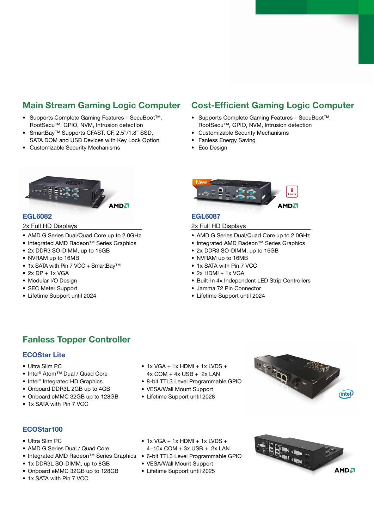# Main Stream Gaming Logic Computer

- Supports Complete Gaming Features SecuBoot™, RootSecu™, GPIO, NVM, Intrusion detection
- SmartBay™ Supports CFAST, CF, 2.5"/1.8" SSD, SATA DOM and USB Devices with Key Lock Option
- Customizable Security Mechanisms

# Cost-Efficient Gaming Logic Computer

- Supports Complete Gaming Features SecuBoot™, RootSecu™, GPIO, NVM, Intrusion detection
- Customizable Security Mechanisms
- Fanless Energy Saving
- Eco Design



# EGL6082

#### 2x Full HD Displays

- AMD G Series Dual/Quad Core up to 2.0GHz
- Integrated AMD Radeon™ Series Graphics
- 2x DDR3 SO-DIMM, up to 16GB
- NVRAM up to 16MB
- 1x SATA with Pin 7 VCC + SmartBav™
- $\bullet$  2x DP + 1x VGA
- Modular I/O Design
- SEC Meter Support
- Lifetime Support until 2024



# EGL6087

#### 2x Full HD Displays

- AMD G Series Dual/Quad Core up to 2.0GHz
- Integrated AMD Radeon™ Series Graphics
- 2x DDR3 SO-DIMM, up to 16GB
- NVRAM up to 16MB
- 1x SATA with Pin 7 VCC
- $\bullet$  2x HDMI  $+$  1x VGA
- Built-In 4x Independent LED Strip Controllers
- Jamma 72 Pin Connector
- Lifetime Support until 2024

# Fanless Topper Controller

# ECOStar Lite

- Ultra Slim PC
- Intel® Atom™ Dual / Quad Core
- Intel<sup>®</sup> Integrated HD Graphics
- Onboard DDR3L 2GB up to 4GB
- Onboard eMMC 32GB up to 128GB
- 1x SATA with Pin 7 VCC
- $\bullet$  1x VGA + 1x HDMI + 1x LVDS +  $4x$  COM +  $4x$  USB +  $2x$  LAN
- 8-bit TTL3 Level Programmable GPIO
- VESA/Wall Mount Support
- Lifetime Support until 2028



# ECOStar100

- Ultra Slim PC
- AMD G Series Dual / Quad Core
- Integrated AMD Radeon™ Series Graphics 6-bit TTL3 Level Programmable GPIO
- 1x DDR3L SO-DIMM, up to 8GB
- Onboard eMMC 32GB up to 128GB
- 1x SATA with Pin 7 VCC
- $\bullet$  1x VGA + 1x HDMI + 1x LVDS +
- 4~10x COM + 3x USB + 2x LAN
- 
- VESA/Wall Mount Support
- Lifetime Support until 2025

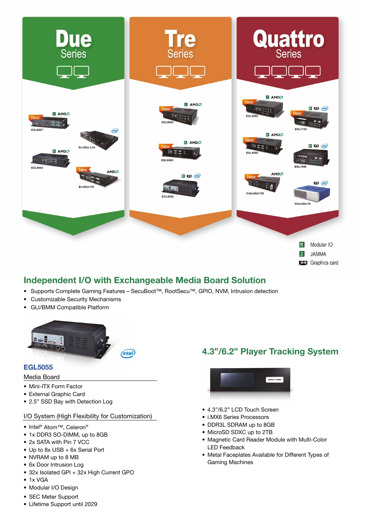

# Independent I/O with Exchangeable Media Board Solution

- Supports Complete Gaming Features SecuBoot™, RootSecu™, GPIO, NVM, Intrusion detection
- Customizable Security Mechanisms
- GLI/BMM Compatible Platform



## EGL5055

#### Media Board

- Mini-ITX Form Factor
- External Graphic Card
- 2.5" SSD Bay with Detection Log

#### I/O System (High Flexibility for Customization)

- Intel® Atom™, Celeron®
- 1x DDR3 SO-DIMM, up to 8GB
- 2x SATA with Pin 7 VCC
- Up to 8x USB + 6x Serial Port
- NVRAM up to 8 MB
- 6x Door Intrusion Log
- 32x Isolated GPI + 32x High Current GPO
- 1x VGA
- Modular I/O Design
- SEC Meter Support
- Lifetime Support until 2029

# 4.3"/6.2" Player Tracking System



- 4.3"/6.2" LCD Touch Screen
- i.MX6 Series Processors
- DDR3L SDRAM up to 8GB
- MicroSD SDXC up to 2TB
- Magnetic Card Reader Module with Multi-Color LED Feedback
- Metal Faceplates Available for Different Types of Gaming Machines